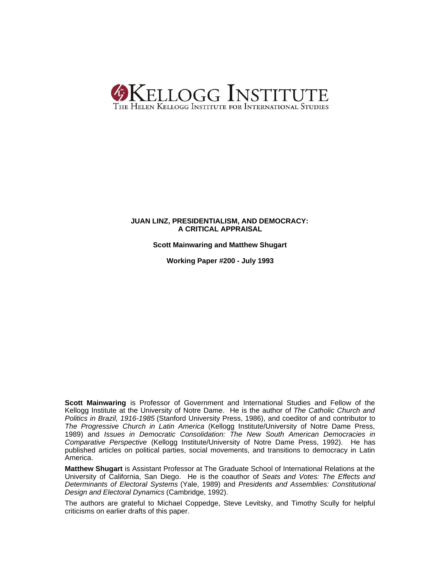

### **JUAN LINZ, PRESIDENTIALISM, AND DEMOCRACY: A CRITICAL APPRAISAL**

**Scott Mainwaring and Matthew Shugart**

**Working Paper #200 - July 1993**

**Scott Mainwaring** is Professor of Government and International Studies and Fellow of the Kellogg Institute at the University of Notre Dame. He is the author of *The Catholic Church and Politics in Brazil, 1916-1985* (Stanford University Press, 1986), and coeditor of and contributor to *The Progressive Church in Latin America* (Kellogg Institute/University of Notre Dame Press, 1989) and *Issues in Democratic Consolidation: The New South American Democracies in Comparative Perspective* (Kellogg Institute/University of Notre Dame Press, 1992). He has published articles on political parties, social movements, and transitions to democracy in Latin America.

**Matthew Shugart** is Assistant Professor at The Graduate School of International Relations at the University of California, San Diego. He is the coauthor of *Seats and Votes: The Effects and Determinants of Electoral Systems* (Yale, 1989) and *Presidents and Assemblies: Constitutional Design and Electoral Dynamics* (Cambridge, 1992).

The authors are grateful to Michael Coppedge, Steve Levitsky, and Timothy Scully for helpful criticisms on earlier drafts of this paper.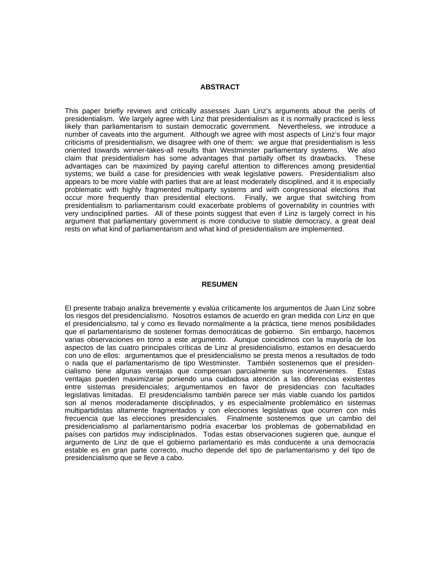### **ABSTRACT**

This paper briefly reviews and critically assesses Juan Linz's arguments about the perils of presidentialism. We largely agree with Linz that presidentialism as it is normally practiced is less likely than parliamentarism to sustain democratic government. Nevertheless, we introduce a number of caveats into the argument. Although we agree with most aspects of Linz's four major criticisms of presidentialism, we disagree with one of them: we argue that presidentialism is less oriented towards winner-takes-all results than Westminster parliamentary systems. We also claim that presidentialism has some advantages that partially offset its drawbacks. These advantages can be maximized by paying careful attention to differences among presidential systems; we build a case for presidencies with weak legislative powers. Presidentialism also appears to be more viable with parties that are at least moderately disciplined, and it is especially problematic with highly fragmented multiparty systems and with congressional elections that occur more frequently than presidential elections. Finally, we argue that switching from presidentialism to parliamentarism could exacerbate problems of governability in countries with very undisciplined parties. All of these points suggest that even if Linz is largely correct in his argument that parliamentary government is more conducive to stable democracy, a great deal rests on what kind of parliamentarism and what kind of presidentialism are implemented.

### **RESUMEN**

El presente trabajo analiza brevemente y evalúa críticamente los argumentos de Juan Linz sobre los riesgos del presidencialismo. Nosotros estamos de acuerdo en gran medida con Linz en que el presidencialismo, tal y como es llevado normalmente a la práctica, tiene menos posibilidades que el parlamentarismo de sostener formas democráticas de gobierno. Sin embargo, hacemos varias observaciones en torno a este argumento. Aunque coincidimos con la mayoría de los aspectos de las cuatro principales críticas de Linz al presidencialismo, estamos en desacuerdo con uno de ellos: argumentamos que el presidencialismo se presta menos a resultados de todo o nada que el parlamentarismo de tipo Westminster. También sostenemos que el presidencialismo tiene algunas ventajas que compensan parcialmente sus inconvenientes. Estas ventajas pueden maximizarse poniendo una cuidadosa atención a las diferencias existentes entre sistemas presidenciales; argumentamos en favor de presidencias con facultades legislativas limitadas. El presidencialismo también parece ser más viable cuando los partidos son al menos moderadamente disciplinados, y es especialmente problemático en sistemas multipartidistas altamente fragmentados y con elecciones legislativas que ocurren con más frecuencia que las elecciones presidenciales. Finalmente sostenemos que un cambio del presidencialismo al parlamentarismo podría exacerbar los problemas de gobernabilidad en países con partidos muy indisciplinados. Todas estas observaciones sugieren que, aunque el argumento de Linz de que el gobierno parlamentario es más conducente a una democracia estable es en gran parte correcto, mucho depende del tipo de parlamentarismo y del tipo de presidencialismo que se lleve a cabo.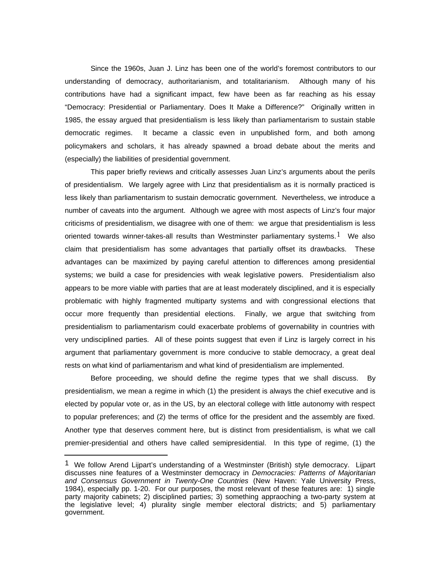Since the 1960s, Juan J. Linz has been one of the world's foremost contributors to our understanding of democracy, authoritarianism, and totalitarianism. Although many of his contributions have had a significant impact, few have been as far reaching as his essay "Democracy: Presidential or Parliamentary. Does It Make a Difference?" Originally written in 1985, the essay argued that presidentialism is less likely than parliamentarism to sustain stable democratic regimes. It became a classic even in unpublished form, and both among policymakers and scholars, it has already spawned a broad debate about the merits and (especially) the liabilities of presidential government.

This paper briefly reviews and critically assesses Juan Linz's arguments about the perils of presidentialism. We largely agree with Linz that presidentialism as it is normally practiced is less likely than parliamentarism to sustain democratic government. Nevertheless, we introduce a number of caveats into the argument. Although we agree with most aspects of Linz's four major criticisms of presidentialism, we disagree with one of them: we argue that presidentialism is less oriented towards winner-takes-all results than Westminster parliamentary systems.<sup>1</sup> We also claim that presidentialism has some advantages that partially offset its drawbacks. These advantages can be maximized by paying careful attention to differences among presidential systems; we build a case for presidencies with weak legislative powers. Presidentialism also appears to be more viable with parties that are at least moderately disciplined, and it is especially problematic with highly fragmented multiparty systems and with congressional elections that occur more frequently than presidential elections. Finally, we argue that switching from presidentialism to parliamentarism could exacerbate problems of governability in countries with very undisciplined parties. All of these points suggest that even if Linz is largely correct in his argument that parliamentary government is more conducive to stable democracy, a great deal rests on what kind of parliamentarism and what kind of presidentialism are implemented.

Before proceeding, we should define the regime types that we shall discuss. By presidentialism, we mean a regime in which (1) the president is always the chief executive and is elected by popular vote or, as in the US, by an electoral college with little autonomy with respect to popular preferences; and (2) the terms of office for the president and the assembly are fixed. Another type that deserves comment here, but is distinct from presidentialism, is what we call premier-presidential and others have called semipresidential. In this type of regime, (1) the

<sup>1</sup> We follow Arend Lijpart's understanding of a Westminster (British) style democracy. Lijpart discusses nine features of a Westminster democracy in *Democracies: Patterns of Majoritarian and Consensus Government in Twenty-One Countries* (New Haven: Yale University Press, 1984), especially pp. 1-20. For our purposes, the most relevant of these features are: 1) single party majority cabinets; 2) disciplined parties; 3) something appraoching a two-party system at the legislative level; 4) plurality single member electoral districts; and 5) parliamentary government.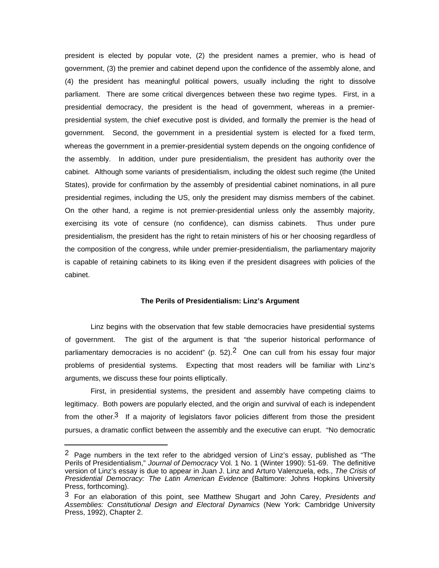president is elected by popular vote, (2) the president names a premier, who is head of government, (3) the premier and cabinet depend upon the confidence of the assembly alone, and (4) the president has meaningful political powers, usually including the right to dissolve parliament. There are some critical divergences between these two regime types. First, in a presidential democracy, the president is the head of government, whereas in a premierpresidential system, the chief executive post is divided, and formally the premier is the head of government. Second, the government in a presidential system is elected for a fixed term, whereas the government in a premier-presidential system depends on the ongoing confidence of the assembly. In addition, under pure presidentialism, the president has authority over the cabinet. Although some variants of presidentialism, including the oldest such regime (the United States), provide for confirmation by the assembly of presidential cabinet nominations, in all pure presidential regimes, including the US, only the president may dismiss members of the cabinet. On the other hand, a regime is not premier-presidential unless only the assembly majority, exercising its vote of censure (no confidence), can dismiss cabinets. Thus under pure presidentialism, the president has the right to retain ministers of his or her choosing regardless of the composition of the congress, while under premier-presidentialism, the parliamentary majority is capable of retaining cabinets to its liking even if the president disagrees with policies of the cabinet.

### **The Perils of Presidentialism: Linz's Argument**

Linz begins with the observation that few stable democracies have presidential systems of government. The gist of the argument is that "the superior historical performance of parliamentary democracies is no accident" (p. 52).<sup>2</sup> One can cull from his essay four major problems of presidential systems. Expecting that most readers will be familiar with Linz's arguments, we discuss these four points elliptically.

First, in presidential systems, the president and assembly have competing claims to legitimacy. Both powers are popularly elected, and the origin and survival of each is independent from the other.<sup>3</sup> If a majority of legislators favor policies different from those the president pursues, a dramatic conflict between the assembly and the executive can erupt. "No democratic

 $2$  Page numbers in the text refer to the abridged version of Linz's essay, published as "The Perils of Presidentialism," *Journal of Democracy* Vol. 1 No. 1 (Winter 1990): 51-69. The definitive version of Linz's essay is due to appear in Juan J. Linz and Arturo Valenzuela, eds., *The Crisis of Presidential Democracy: The Latin American Evidence* (Baltimore: Johns Hopkins University Press, forthcoming).

<sup>3</sup> For an elaboration of this point, see Matthew Shugart and John Carey, *Presidents and Assemblies: Constitutional Design and Electoral Dynamics* (New York: Cambridge University Press, 1992), Chapter 2.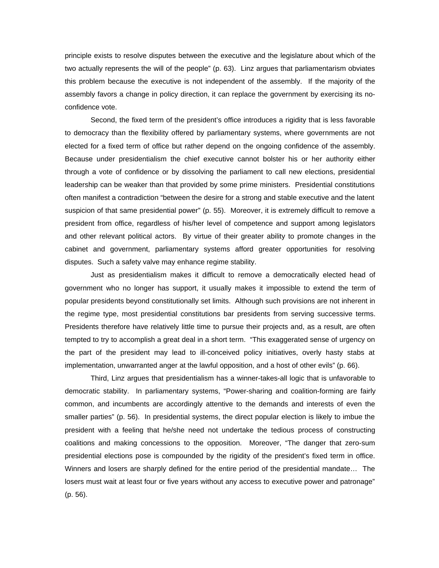principle exists to resolve disputes between the executive and the legislature about which of the two actually represents the will of the people" (p. 63). Linz argues that parliamentarism obviates this problem because the executive is not independent of the assembly. If the majority of the assembly favors a change in policy direction, it can replace the government by exercising its noconfidence vote.

Second, the fixed term of the president's office introduces a rigidity that is less favorable to democracy than the flexibility offered by parliamentary systems, where governments are not elected for a fixed term of office but rather depend on the ongoing confidence of the assembly. Because under presidentialism the chief executive cannot bolster his or her authority either through a vote of confidence or by dissolving the parliament to call new elections, presidential leadership can be weaker than that provided by some prime ministers. Presidential constitutions often manifest a contradiction "between the desire for a strong and stable executive and the latent suspicion of that same presidential power" (p. 55). Moreover, it is extremely difficult to remove a president from office, regardless of his/her level of competence and support among legislators and other relevant political actors. By virtue of their greater ability to promote changes in the cabinet and government, parliamentary systems afford greater opportunities for resolving disputes. Such a safety valve may enhance regime stability.

Just as presidentialism makes it difficult to remove a democratically elected head of government who no longer has support, it usually makes it impossible to extend the term of popular presidents beyond constitutionally set limits. Although such provisions are not inherent in the regime type, most presidential constitutions bar presidents from serving successive terms. Presidents therefore have relatively little time to pursue their projects and, as a result, are often tempted to try to accomplish a great deal in a short term. "This exaggerated sense of urgency on the part of the president may lead to ill-conceived policy initiatives, overly hasty stabs at implementation, unwarranted anger at the lawful opposition, and a host of other evils" (p. 66).

Third, Linz argues that presidentialism has a winner-takes-all logic that is unfavorable to democratic stability. In parliamentary systems, "Power-sharing and coalition-forming are fairly common, and incumbents are accordingly attentive to the demands and interests of even the smaller parties" (p. 56). In presidential systems, the direct popular election is likely to imbue the president with a feeling that he/she need not undertake the tedious process of constructing coalitions and making concessions to the opposition. Moreover, "The danger that zero-sum presidential elections pose is compounded by the rigidity of the president's fixed term in office. Winners and losers are sharply defined for the entire period of the presidential mandate… The losers must wait at least four or five years without any access to executive power and patronage" (p. 56).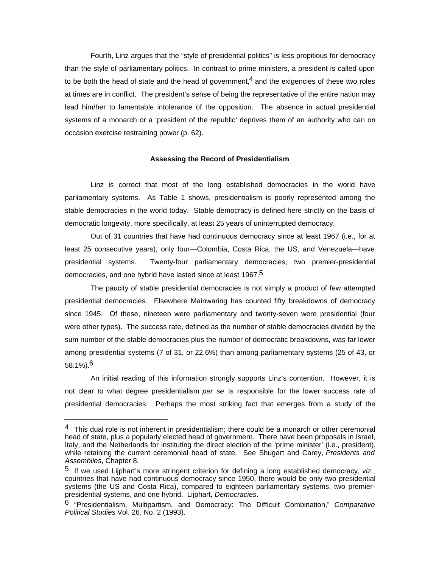Fourth, Linz argues that the "style of presidential politics" is less propitious for democracy than the style of parliamentary politics. In contrast to prime ministers, a president is called upon to be both the head of state and the head of government.<sup>4</sup> and the exigencies of these two roles at times are in conflict. The president's sense of being the representative of the entire nation may lead him/her to lamentable intolerance of the opposition. The absence in actual presidential systems of a monarch or a 'president of the republic' deprives them of an authority who can on occasion exercise restraining power (p. 62).

### **Assessing the Record of Presidentialism**

Linz is correct that most of the long established democracies in the world have parliamentary systems. As Table 1 shows, presidentialism is poorly represented among the stable democracies in the world today. Stable democracy is defined here strictly on the basis of democratic longevity, more specifically, at least 25 years of uninterrupted democracy.

Out of 31 countries that have had continuous democracy since at least 1967 (i.e., for at least 25 consecutive years), only four—Colombia, Costa Rica, the US, and Venezuela—have presidential systems. Twenty-four parliamentary democracies, two premier-presidential democracies, and one hybrid have lasted since at least 1967.5

The paucity of stable presidential democracies is not simply a product of few attempted presidential democracies. Elsewhere Mainwaring has counted fifty breakdowns of democracy since 1945. Of these, nineteen were parliamentary and twenty-seven were presidential (four were other types). The success rate, defined as the number of stable democracies divided by the sum number of the stable democracies plus the number of democratic breakdowns, was far lower among presidential systems (7 of 31, or 22.6%) than among parliamentary systems (25 of 43, or  $58.1\%$ ).<sup>6</sup>

An initial reading of this information strongly supports Linz's contention. However, it is not clear to what degree presidentialism *per se* is responsible for the lower success rate of presidential democracies. Perhaps the most striking fact that emerges from a study of the

 $4$  This dual role is not inherent in presidentialism; there could be a monarch or other ceremonial head of state, plus a popularly elected head of government. There have been proposals in Israel, Italy, and the Netherlands for instituting the direct election of the 'prime minister' (i.e., president), while retaining the current ceremonial head of state. See Shugart and Carey, *Presidents and Assemblies*, Chapter 8.

<sup>5</sup> If we used Lijphart's more stringent criterion for defining a long established democracy, *viz*., countries that have had continuous democracy since 1950, there would be only two presidential systems (the US and Costa Rica), compared to eighteen parliamentary systems, two premierpresidential systems, and one hybrid. Lijphart, *Democracies*.

<sup>6</sup> "Presidentialism, Multipartism, and Democracy: The Difficult Combination," *Comparative Political Studies* Vol. 26, No. 2 (1993).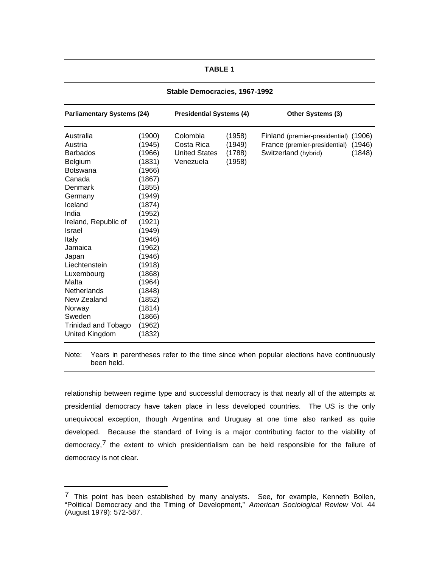### **TABLE 1**

| <b>Parliamentary Systems (24)</b>                                                                                                                                                                                                                                                                                                                |                                                                                                                                                                                                                                              | <b>Presidential Systems (4)</b>                             |                                      | Other Systems (3)                                                                              |                  |  |
|--------------------------------------------------------------------------------------------------------------------------------------------------------------------------------------------------------------------------------------------------------------------------------------------------------------------------------------------------|----------------------------------------------------------------------------------------------------------------------------------------------------------------------------------------------------------------------------------------------|-------------------------------------------------------------|--------------------------------------|------------------------------------------------------------------------------------------------|------------------|--|
| Australia<br>Austria<br><b>Barbados</b><br>Belgium<br><b>Botswana</b><br>Canada<br>Denmark<br>Germany<br>Iceland<br>India<br>Ireland, Republic of<br><b>Israel</b><br>Italy<br>Jamaica<br>Japan<br>Liechtenstein<br>Luxembourg<br>Malta<br><b>Netherlands</b><br>New Zealand<br>Norway<br>Sweden<br><b>Trinidad and Tobago</b><br>United Kingdom | (1900)<br>(1945)<br>(1966)<br>(1831)<br>(1966)<br>(1867)<br>(1855)<br>(1949)<br>(1874)<br>(1952)<br>(1921)<br>(1949)<br>(1946)<br>(1962)<br>(1946)<br>(1918)<br>(1868)<br>(1964)<br>(1848)<br>(1852)<br>(1814)<br>(1866)<br>(1962)<br>(1832) | Colombia<br>Costa Rica<br><b>United States</b><br>Venezuela | (1958)<br>(1949)<br>(1788)<br>(1958) | Finland (premier-presidential) (1906)<br>France (premier-presidential)<br>Switzerland (hybrid) | (1946)<br>(1848) |  |
|                                                                                                                                                                                                                                                                                                                                                  |                                                                                                                                                                                                                                              |                                                             |                                      |                                                                                                |                  |  |

**Stable Democracies, 1967-1992**

Note: Years in parentheses refer to the time since when popular elections have continuously been held.

relationship between regime type and successful democracy is that nearly all of the attempts at presidential democracy have taken place in less developed countries. The US is the only unequivocal exception, though Argentina and Uruguay at one time also ranked as quite developed. Because the standard of living is a major contributing factor to the viability of democracy, $7$  the extent to which presidentialism can be held responsible for the failure of democracy is not clear.

 $7$  This point has been established by many analysts. See, for example, Kenneth Bollen, "Political Democracy and the Timing of Development," *American Sociological Review* Vol. 44 (August 1979): 572-587.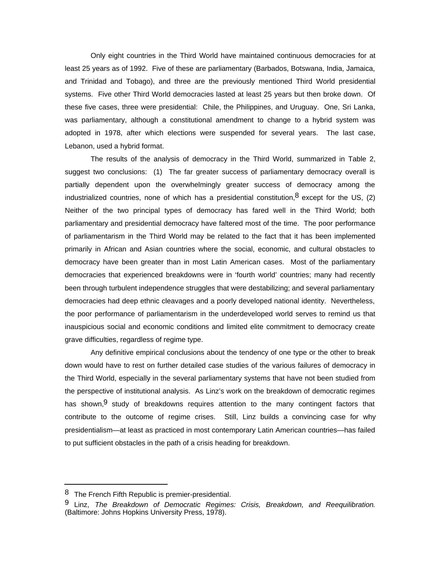Only eight countries in the Third World have maintained continuous democracies for at least 25 years as of 1992. Five of these are parliamentary (Barbados, Botswana, India, Jamaica, and Trinidad and Tobago), and three are the previously mentioned Third World presidential systems. Five other Third World democracies lasted at least 25 years but then broke down. Of these five cases, three were presidential: Chile, the Philippines, and Uruguay. One, Sri Lanka, was parliamentary, although a constitutional amendment to change to a hybrid system was adopted in 1978, after which elections were suspended for several years. The last case, Lebanon, used a hybrid format.

The results of the analysis of democracy in the Third World, summarized in Table 2, suggest two conclusions: (1) The far greater success of parliamentary democracy overall is partially dependent upon the overwhelmingly greater success of democracy among the industrialized countries, none of which has a presidential constitution,  $8$  except for the US, (2) Neither of the two principal types of democracy has fared well in the Third World; both parliamentary and presidential democracy have faltered most of the time. The poor performance of parliamentarism in the Third World may be related to the fact that it has been implemented primarily in African and Asian countries where the social, economic, and cultural obstacles to democracy have been greater than in most Latin American cases. Most of the parliamentary democracies that experienced breakdowns were in 'fourth world' countries; many had recently been through turbulent independence struggles that were destabilizing; and several parliamentary democracies had deep ethnic cleavages and a poorly developed national identity. Nevertheless, the poor performance of parliamentarism in the underdeveloped world serves to remind us that inauspicious social and economic conditions and limited elite commitment to democracy create grave difficulties, regardless of regime type.

Any definitive empirical conclusions about the tendency of one type or the other to break down would have to rest on further detailed case studies of the various failures of democracy in the Third World, especially in the several parliamentary systems that have not been studied from the perspective of institutional analysis. As Linz's work on the breakdown of democratic regimes has shown,  $9$  study of breakdowns requires attention to the many contingent factors that contribute to the outcome of regime crises. Still, Linz builds a convincing case for why presidentialism—at least as practiced in most contemporary Latin American countries—has failed to put sufficient obstacles in the path of a crisis heading for breakdown.

<sup>&</sup>lt;sup>8</sup> The French Fifth Republic is premier-presidential.

<sup>9</sup> Linz, *The Breakdown of Democratic Regimes: Crisis, Breakdown, and Reequilibration*. (Baltimore: Johns Hopkins University Press, 1978).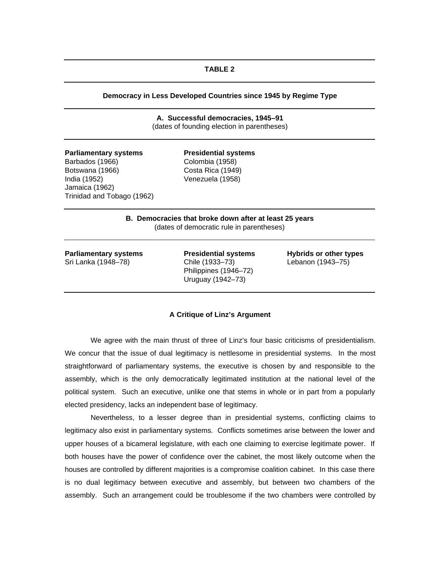### **TABLE 2**

### **Democracy in Less Developed Countries since 1945 by Regime Type**

**A. Successful democracies, 1945–91** (dates of founding election in parentheses)

| <b>Parliamentary systems</b> | <b>Presidential systems</b> |
|------------------------------|-----------------------------|
| Barbados (1966)              | Colombia (1958)             |
| Botswana (1966)              | Costa Rica (1949)           |
| India (1952)                 | Venezuela (1958)            |
| Jamaica (1962)               |                             |
| Trinidad and Tobago (1962)   |                             |
|                              |                             |

### **B. Democracies that broke down after at least 25 years** (dates of democratic rule in parentheses)

| <b>Parliamentary systems</b> |  |  |
|------------------------------|--|--|
| Sri Lanka (1948-78)          |  |  |

Chile (1933–73) Lebanon (1943–75) Philippines (1946–72) Uruguay (1942–73)

**Presidential systems Hybrids or other types** 

### **A Critique of Linz's Argument**

We agree with the main thrust of three of Linz's four basic criticisms of presidentialism. We concur that the issue of dual legitimacy is nettlesome in presidential systems. In the most straightforward of parliamentary systems, the executive is chosen by and responsible to the assembly, which is the only democratically legitimated institution at the national level of the political system. Such an executive, unlike one that stems in whole or in part from a popularly elected presidency, lacks an independent base of legitimacy.

Nevertheless, to a lesser degree than in presidential systems, conflicting claims to legitimacy also exist in parliamentary systems. Conflicts sometimes arise between the lower and upper houses of a bicameral legislature, with each one claiming to exercise legitimate power. If both houses have the power of confidence over the cabinet, the most likely outcome when the houses are controlled by different majorities is a compromise coalition cabinet. In this case there is no dual legitimacy between executive and assembly, but between two chambers of the assembly. Such an arrangement could be troublesome if the two chambers were controlled by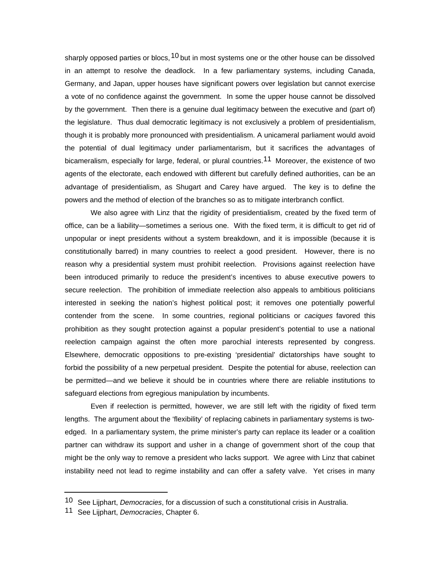sharply opposed parties or blocs,  $10$  but in most systems one or the other house can be dissolved in an attempt to resolve the deadlock. In a few parliamentary systems, including Canada, Germany, and Japan, upper houses have significant powers over legislation but cannot exercise a vote of no confidence against the government. In some the upper house cannot be dissolved by the government. Then there is a genuine dual legitimacy between the executive and (part of) the legislature. Thus dual democratic legitimacy is not exclusively a problem of presidentialism, though it is probably more pronounced with presidentialism. A unicameral parliament would avoid the potential of dual legitimacy under parliamentarism, but it sacrifices the advantages of bicameralism, especially for large, federal, or plural countries.<sup>11</sup> Moreover, the existence of two agents of the electorate, each endowed with different but carefully defined authorities, can be an advantage of presidentialism, as Shugart and Carey have argued. The key is to define the powers and the method of election of the branches so as to mitigate interbranch conflict.

We also agree with Linz that the rigidity of presidentialism, created by the fixed term of office, can be a liability—sometimes a serious one. With the fixed term, it is difficult to get rid of unpopular or inept presidents without a system breakdown, and it is impossible (because it is constitutionally barred) in many countries to reelect a good president. However, there is no reason why a presidential system must prohibit reelection. Provisions against reelection have been introduced primarily to reduce the president's incentives to abuse executive powers to secure reelection. The prohibition of immediate reelection also appeals to ambitious politicians interested in seeking the nation's highest political post; it removes one potentially powerful contender from the scene. In some countries, regional politicians or *caciques* favored this prohibition as they sought protection against a popular president's potential to use a national reelection campaign against the often more parochial interests represented by congress. Elsewhere, democratic oppositions to pre-existing 'presidential' dictatorships have sought to forbid the possibility of a new perpetual president. Despite the potential for abuse, reelection can be permitted—and we believe it should be in countries where there are reliable institutions to safeguard elections from egregious manipulation by incumbents.

Even if reelection is permitted, however, we are still left with the rigidity of fixed term lengths. The argument about the 'flexibility' of replacing cabinets in parliamentary systems is twoedged. In a parliamentary system, the prime minister's party can replace its leader or a coalition partner can withdraw its support and usher in a change of government short of the coup that might be the only way to remove a president who lacks support. We agree with Linz that cabinet instability need not lead to regime instability and can offer a safety valve. Yet crises in many

<sup>10</sup> See Lijphart, *Democracies*, for a discussion of such a constitutional crisis in Australia.

<sup>11</sup> See Lijphart, *Democracies*, Chapter 6.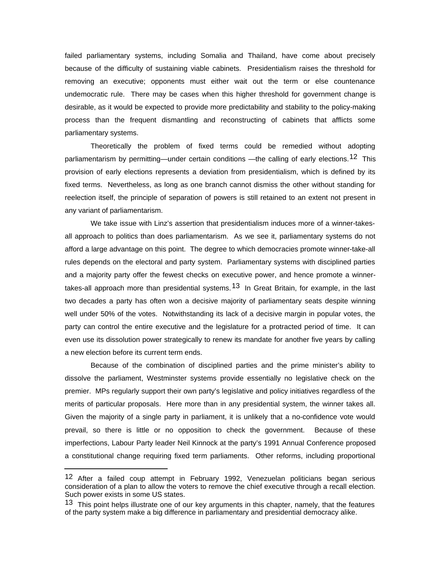failed parliamentary systems, including Somalia and Thailand, have come about precisely because of the difficulty of sustaining viable cabinets. Presidentialism raises the threshold for removing an executive; opponents must either wait out the term or else countenance undemocratic rule. There may be cases when this higher threshold for government change is desirable, as it would be expected to provide more predictability and stability to the policy-making process than the frequent dismantling and reconstructing of cabinets that afflicts some parliamentary systems.

Theoretically the problem of fixed terms could be remedied without adopting parliamentarism by permitting—under certain conditions —the calling of early elections.<sup>12</sup> This provision of early elections represents a deviation from presidentialism, which is defined by its fixed terms. Nevertheless, as long as one branch cannot dismiss the other without standing for reelection itself, the principle of separation of powers is still retained to an extent not present in any variant of parliamentarism.

We take issue with Linz's assertion that presidentialism induces more of a winner-takesall approach to politics than does parliamentarism. As we see it, parliamentary systems do not afford a large advantage on this point. The degree to which democracies promote winner-take-all rules depends on the electoral and party system. Parliamentary systems with disciplined parties and a majority party offer the fewest checks on executive power, and hence promote a winnertakes-all approach more than presidential systems.<sup>13</sup> In Great Britain, for example, in the last two decades a party has often won a decisive majority of parliamentary seats despite winning well under 50% of the votes. Notwithstanding its lack of a decisive margin in popular votes, the party can control the entire executive and the legislature for a protracted period of time. It can even use its dissolution power strategically to renew its mandate for another five years by calling a new election before its current term ends.

Because of the combination of disciplined parties and the prime minister's ability to dissolve the parliament, Westminster systems provide essentially no legislative check on the premier. MPs regularly support their own party's legislative and policy initiatives regardless of the merits of particular proposals. Here more than in any presidential system, the winner takes all. Given the majority of a single party in parliament, it is unlikely that a no-confidence vote would prevail, so there is little or no opposition to check the government. Because of these imperfections, Labour Party leader Neil Kinnock at the party's 1991 Annual Conference proposed a constitutional change requiring fixed term parliaments. Other reforms, including proportional

<sup>12</sup> After a failed coup attempt in February 1992, Venezuelan politicians began serious consideration of a plan to allow the voters to remove the chief executive through a recall election. Such power exists in some US states.

<sup>&</sup>lt;sup>13</sup> This point helps illustrate one of our key arguments in this chapter, namely, that the features of the party system make a big difference in parliamentary and presidential democracy alike.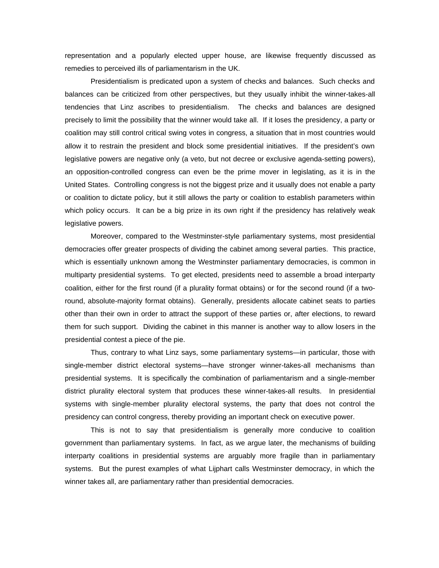representation and a popularly elected upper house, are likewise frequently discussed as remedies to perceived ills of parliamentarism in the UK.

Presidentialism is predicated upon a system of checks and balances. Such checks and balances can be criticized from other perspectives, but they usually inhibit the winner-takes-all tendencies that Linz ascribes to presidentialism. The checks and balances are designed precisely to limit the possibility that the winner would take all. If it loses the presidency, a party or coalition may still control critical swing votes in congress, a situation that in most countries would allow it to restrain the president and block some presidential initiatives. If the president's own legislative powers are negative only (a veto, but not decree or exclusive agenda-setting powers), an opposition-controlled congress can even be the prime mover in legislating, as it is in the United States. Controlling congress is not the biggest prize and it usually does not enable a party or coalition to dictate policy, but it still allows the party or coalition to establish parameters within which policy occurs. It can be a big prize in its own right if the presidency has relatively weak legislative powers.

Moreover, compared to the Westminster-style parliamentary systems, most presidential democracies offer greater prospects of dividing the cabinet among several parties. This practice, which is essentially unknown among the Westminster parliamentary democracies, is common in multiparty presidential systems. To get elected, presidents need to assemble a broad interparty coalition, either for the first round (if a plurality format obtains) or for the second round (if a tworound, absolute-majority format obtains). Generally, presidents allocate cabinet seats to parties other than their own in order to attract the support of these parties or, after elections, to reward them for such support. Dividing the cabinet in this manner is another way to allow losers in the presidential contest a piece of the pie.

Thus, contrary to what Linz says, some parliamentary systems—in particular, those with single-member district electoral systems—have stronger winner-takes-all mechanisms than presidential systems. It is specifically the combination of parliamentarism and a single-member district plurality electoral system that produces these winner-takes-all results. In presidential systems with single-member plurality electoral systems, the party that does not control the presidency can control congress, thereby providing an important check on executive power.

This is not to say that presidentialism is generally more conducive to coalition government than parliamentary systems. In fact, as we argue later, the mechanisms of building interparty coalitions in presidential systems are arguably more fragile than in parliamentary systems. But the purest examples of what Lijphart calls Westminster democracy, in which the winner takes all, are parliamentary rather than presidential democracies.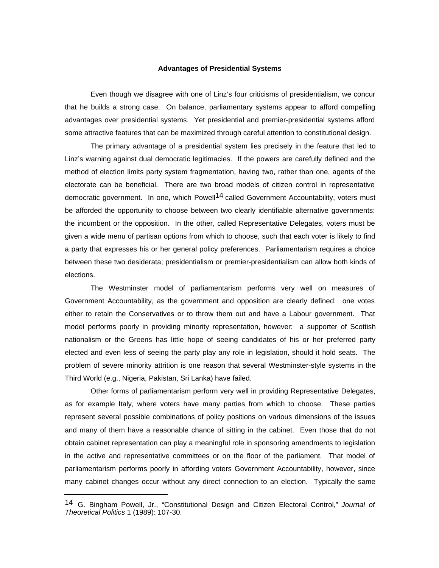### **Advantages of Presidential Systems**

Even though we disagree with one of Linz's four criticisms of presidentialism, we concur that he builds a strong case. On balance, parliamentary systems appear to afford compelling advantages over presidential systems. Yet presidential and premier-presidential systems afford some attractive features that can be maximized through careful attention to constitutional design.

The primary advantage of a presidential system lies precisely in the feature that led to Linz's warning against dual democratic legitimacies. If the powers are carefully defined and the method of election limits party system fragmentation, having two, rather than one, agents of the electorate can be beneficial. There are two broad models of citizen control in representative democratic government. In one, which Powell<sup>14</sup> called Government Accountability, voters must be afforded the opportunity to choose between two clearly identifiable alternative governments: the incumbent or the opposition. In the other, called Representative Delegates, voters must be given a wide menu of partisan options from which to choose, such that each voter is likely to find a party that expresses his or her general policy preferences. Parliamentarism requires a choice between these two desiderata; presidentialism or premier-presidentialism can allow both kinds of elections.

The Westminster model of parliamentarism performs very well on measures of Government Accountability, as the government and opposition are clearly defined: one votes either to retain the Conservatives or to throw them out and have a Labour government. That model performs poorly in providing minority representation, however: a supporter of Scottish nationalism or the Greens has little hope of seeing candidates of his or her preferred party elected and even less of seeing the party play any role in legislation, should it hold seats. The problem of severe minority attrition is one reason that several Westminster-style systems in the Third World (e.g., Nigeria, Pakistan, Sri Lanka) have failed.

Other forms of parliamentarism perform very well in providing Representative Delegates, as for example Italy, where voters have many parties from which to choose. These parties represent several possible combinations of policy positions on various dimensions of the issues and many of them have a reasonable chance of sitting in the cabinet. Even those that do not obtain cabinet representation can play a meaningful role in sponsoring amendments to legislation in the active and representative committees or on the floor of the parliament. That model of parliamentarism performs poorly in affording voters Government Accountability, however, since many cabinet changes occur without any direct connection to an election. Typically the same

<sup>14</sup> G. Bingham Powell, Jr., "Constitutional Design and Citizen Electoral Control," *Journal of Theoretical Politics* 1 (1989): 107-30.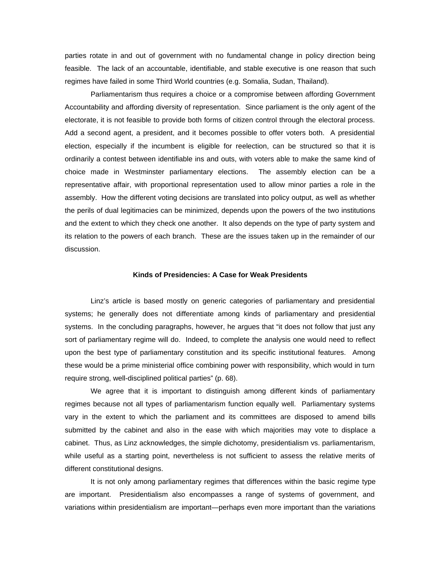parties rotate in and out of government with no fundamental change in policy direction being feasible. The lack of an accountable, identifiable, and stable executive is one reason that such regimes have failed in some Third World countries (e.g. Somalia, Sudan, Thailand).

Parliamentarism thus requires a choice or a compromise between affording Government Accountability and affording diversity of representation. Since parliament is the only agent of the electorate, it is not feasible to provide both forms of citizen control through the electoral process. Add a second agent, a president, and it becomes possible to offer voters both. A presidential election, especially if the incumbent is eligible for reelection, can be structured so that it is ordinarily a contest between identifiable ins and outs, with voters able to make the same kind of choice made in Westminster parliamentary elections. The assembly election can be a representative affair, with proportional representation used to allow minor parties a role in the assembly. How the different voting decisions are translated into policy output, as well as whether the perils of dual legitimacies can be minimized, depends upon the powers of the two institutions and the extent to which they check one another. It also depends on the type of party system and its relation to the powers of each branch. These are the issues taken up in the remainder of our discussion.

### **Kinds of Presidencies: A Case for Weak Presidents**

Linz's article is based mostly on generic categories of parliamentary and presidential systems; he generally does not differentiate among kinds of parliamentary and presidential systems. In the concluding paragraphs, however, he argues that "it does not follow that just any sort of parliamentary regime will do. Indeed, to complete the analysis one would need to reflect upon the best type of parliamentary constitution and its specific institutional features. Among these would be a prime ministerial office combining power with responsibility, which would in turn require strong, well-disciplined political parties" (p. 68).

We agree that it is important to distinguish among different kinds of parliamentary regimes because not all types of parliamentarism function equally well. Parliamentary systems vary in the extent to which the parliament and its committees are disposed to amend bills submitted by the cabinet and also in the ease with which majorities may vote to displace a cabinet. Thus, as Linz acknowledges, the simple dichotomy, presidentialism vs. parliamentarism, while useful as a starting point, nevertheless is not sufficient to assess the relative merits of different constitutional designs.

It is not only among parliamentary regimes that differences within the basic regime type are important. Presidentialism also encompasses a range of systems of government, and variations within presidentialism are important—perhaps even more important than the variations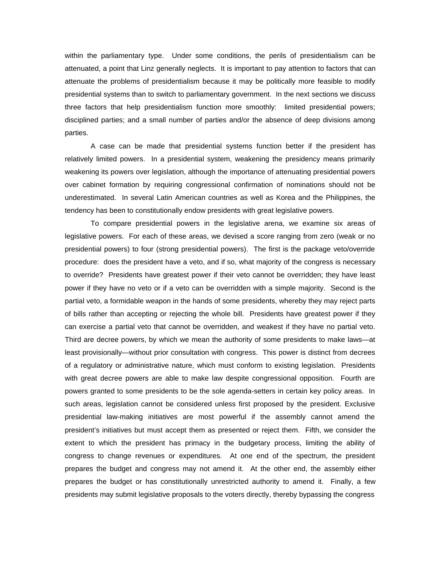within the parliamentary type. Under some conditions, the perils of presidentialism can be attenuated, a point that Linz generally neglects. It is important to pay attention to factors that can attenuate the problems of presidentialism because it may be politically more feasible to modify presidential systems than to switch to parliamentary government. In the next sections we discuss three factors that help presidentialism function more smoothly: limited presidential powers; disciplined parties; and a small number of parties and/or the absence of deep divisions among parties.

A case can be made that presidential systems function better if the president has relatively limited powers. In a presidential system, weakening the presidency means primarily weakening its powers over legislation, although the importance of attenuating presidential powers over cabinet formation by requiring congressional confirmation of nominations should not be underestimated. In several Latin American countries as well as Korea and the Philippines, the tendency has been to constitutionally endow presidents with great legislative powers.

To compare presidential powers in the legislative arena, we examine six areas of legislative powers. For each of these areas, we devised a score ranging from zero (weak or no presidential powers) to four (strong presidential powers). The first is the package veto/override procedure: does the president have a veto, and if so, what majority of the congress is necessary to override? Presidents have greatest power if their veto cannot be overridden; they have least power if they have no veto or if a veto can be overridden with a simple majority. Second is the partial veto, a formidable weapon in the hands of some presidents, whereby they may reject parts of bills rather than accepting or rejecting the whole bill. Presidents have greatest power if they can exercise a partial veto that cannot be overridden, and weakest if they have no partial veto. Third are decree powers, by which we mean the authority of some presidents to make laws—at least provisionally—without prior consultation with congress. This power is distinct from decrees of a regulatory or administrative nature, which must conform to existing legislation. Presidents with great decree powers are able to make law despite congressional opposition. Fourth are powers granted to some presidents to be the sole agenda-setters in certain key policy areas. In such areas, legislation cannot be considered unless first proposed by the president. Exclusive presidential law-making initiatives are most powerful if the assembly cannot amend the president's initiatives but must accept them as presented or reject them. Fifth, we consider the extent to which the president has primacy in the budgetary process, limiting the ability of congress to change revenues or expenditures. At one end of the spectrum, the president prepares the budget and congress may not amend it. At the other end, the assembly either prepares the budget or has constitutionally unrestricted authority to amend it. Finally, a few presidents may submit legislative proposals to the voters directly, thereby bypassing the congress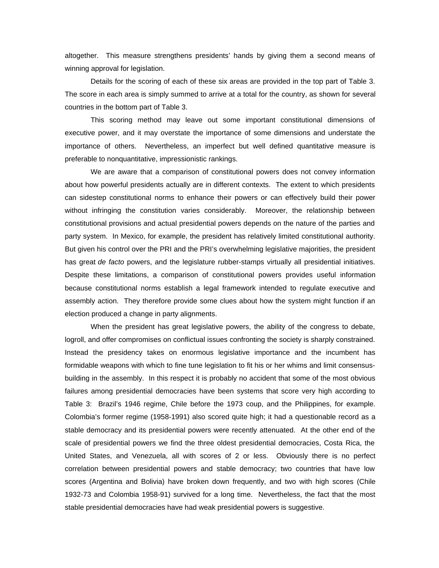altogether. This measure strengthens presidents' hands by giving them a second means of winning approval for legislation.

Details for the scoring of each of these six areas are provided in the top part of Table 3. The score in each area is simply summed to arrive at a total for the country, as shown for several countries in the bottom part of Table 3.

This scoring method may leave out some important constitutional dimensions of executive power, and it may overstate the importance of some dimensions and understate the importance of others. Nevertheless, an imperfect but well defined quantitative measure is preferable to nonquantitative, impressionistic rankings.

We are aware that a comparison of constitutional powers does not convey information about how powerful presidents actually are in different contexts. The extent to which presidents can sidestep constitutional norms to enhance their powers or can effectively build their power without infringing the constitution varies considerably. Moreover, the relationship between constitutional provisions and actual presidential powers depends on the nature of the parties and party system. In Mexico, for example, the president has relatively limited constitutional authority. But given his control over the PRI and the PRI's overwhelming legislative majorities, the president has great *de facto* powers, and the legislature rubber-stamps virtually all presidential initiatives. Despite these limitations, a comparison of constitutional powers provides useful information because constitutional norms establish a legal framework intended to regulate executive and assembly action. They therefore provide some clues about how the system might function if an election produced a change in party alignments.

When the president has great legislative powers, the ability of the congress to debate, logroll, and offer compromises on conflictual issues confronting the society is sharply constrained. Instead the presidency takes on enormous legislative importance and the incumbent has formidable weapons with which to fine tune legislation to fit his or her whims and limit consensusbuilding in the assembly. In this respect it is probably no accident that some of the most obvious failures among presidential democracies have been systems that score very high according to Table 3: Brazil's 1946 regime, Chile before the 1973 coup, and the Philippines, for example. Colombia's former regime (1958-1991) also scored quite high; it had a questionable record as a stable democracy and its presidential powers were recently attenuated. At the other end of the scale of presidential powers we find the three oldest presidential democracies, Costa Rica, the United States, and Venezuela, all with scores of 2 or less. Obviously there is no perfect correlation between presidential powers and stable democracy; two countries that have low scores (Argentina and Bolivia) have broken down frequently, and two with high scores (Chile 1932-73 and Colombia 1958-91) survived for a long time. Nevertheless, the fact that the most stable presidential democracies have had weak presidential powers is suggestive.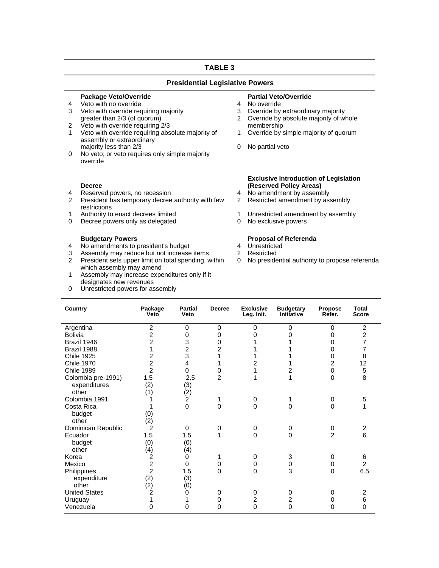### **TABLE 3**

### **Presidential Legislative Powers**

# **Package Veto/Override**<br>
Veto with no override<br>
Veto with no override<br> **Partial Veto/Override**<br>
4 No override

- 4 Veto with no override<br>
3 Veto with override requiring majority<br>
4 No override by extraordinary majority<br>
3 Override by extraordinary majority 3 Veto with override requiring majority 3 3<br>
areater than 2/3 (of quorum) 3 3
- 
- exter than 2/3 (of quorum)<br>2 Veto with override requiring 2/3<br>1 Veto with override requiring abs Veto with override requiring absolute majority of assembly or extraordinary majority less than  $2/3$   $\sim$  0 No partial veto
- 0 No veto; or veto requires only simple majority override

### **Decree**

- 
- 4 Reserved powers, no recession<br>2 President has temporary decree authority with few 2 President has temporary decree authority with few restrictions<br>Authority to enact decrees limited
- 
- 0 Decree powers only as delegated 0 No exclusive powers

- **Budgetary Powers**<br> **Proposal of Referenda**<br> **Proposal of Referenda**<br> **Proposal of Referenda**<br> **Proposal of Referenda**
- 4 No amendments to president's budget 4 Unrestricte<br>
3 Assembly may reduce but not increase items 2 Restricted 3 Assembly may reduce but not increase items<br>2 President sets upper limit on total spending.
- President sets upper limit on total spending, within which assembly may amend
- 1 Assembly may increase expenditures only if it designates new revenues
- 0 Unrestricted powers for assembly

- 
- 
- Override by absolute majority of whole<br>membership
- 1 Override by simple majority of quorum
- 

## **Exclusive Introduction of Legislation (Reserved Policy Areas)**

- 
- 2 Restricted amendment by assembly
- 1 Authority to enact decrees limited 1 Unrestricted amendment by assembly
	-

- 
- 
- 0 No presidential authority to propose referenda

| Country              | Package<br>Veto | <b>Partial</b><br>Veto | <b>Decree</b>  | <b>Exclusive</b><br>Leg. Init. | <b>Budgetary</b><br><b>Initiative</b> | <b>Propose</b><br>Refer. | <b>Total</b><br><b>Score</b> |
|----------------------|-----------------|------------------------|----------------|--------------------------------|---------------------------------------|--------------------------|------------------------------|
| Argentina            | $\overline{c}$  | 0                      | 0              | $\Omega$                       | $\Omega$                              | 0                        | $\overline{\mathbf{c}}$      |
| Bolivia              | $\overline{c}$  | 0                      | 0              | 0                              | ŋ                                     | 0                        | $\overline{c}$               |
| Brazil 1946          | $\overline{2}$  | 3                      | 0              |                                |                                       | 0                        | $\overline{7}$               |
| Brazil 1988          | 1               | $\overline{c}$         | 2              |                                |                                       | 0                        | $\overline{7}$               |
| <b>Chile 1925</b>    | 2               | 3                      | 1              |                                |                                       | 0                        | 8                            |
| <b>Chile 1970</b>    | $\overline{2}$  | 4                      | 1              | $\overline{2}$                 |                                       | $\overline{2}$           | 12                           |
| <b>Chile 1989</b>    | $\overline{2}$  | 0                      | 0              | 1                              | 2                                     | 0                        | 5                            |
| Colombia pre-1991)   | 1.5             | 2.5                    | $\mathfrak{p}$ | 1                              | 1                                     | $\Omega$                 | 8                            |
| expenditures         | (2)             | (3)                    |                |                                |                                       |                          |                              |
| other                | (1)             | $\binom{2}{2}$         |                |                                |                                       |                          |                              |
| Colombia 1991        |                 |                        |                | 0                              | 1                                     | 0                        | 5                            |
| Costa Rica           |                 | 0                      | 0              | $\Omega$                       | $\mathbf{0}$                          | 0                        | 1                            |
| budget               | (0)             |                        |                |                                |                                       |                          |                              |
| other                | (2)             |                        |                |                                |                                       |                          |                              |
| Dominican Republic   | 2               | 0                      | 0              | 0                              | 0                                     | 0                        | 2                            |
| Ecuador              | 1.5             | 1.5                    | 1              | $\Omega$                       | $\mathbf{0}$                          | $\overline{2}$           | 6                            |
| budget               | (0)             | (0)                    |                |                                |                                       |                          |                              |
| other                | (4)             | (4)                    |                |                                |                                       |                          |                              |
| Korea                | 2               | 0                      |                | 0                              | 3                                     | 0                        | 6                            |
| Mexico               | $\overline{2}$  | 0                      | 0              | 0                              | 0                                     | 0                        | $\overline{2}$               |
| Philippines          | $\overline{2}$  | 1.5                    | 0              | $\Omega$                       | 3                                     | $\Omega$                 | 6.5                          |
| expenditure          | (2)             | (3)                    |                |                                |                                       |                          |                              |
| other                | (2)             | (0)                    |                |                                |                                       |                          |                              |
| <b>United States</b> | 2               | 0                      | 0              | 0                              | 0                                     | 0                        | 2                            |
| Uruguay              | 1               |                        | 0              | $\overline{2}$                 | 2                                     | 0                        | 6                            |
| Venezuela            | 0               | 0                      | 0              | $\Omega$                       | $\Omega$                              | 0                        | $\Omega$                     |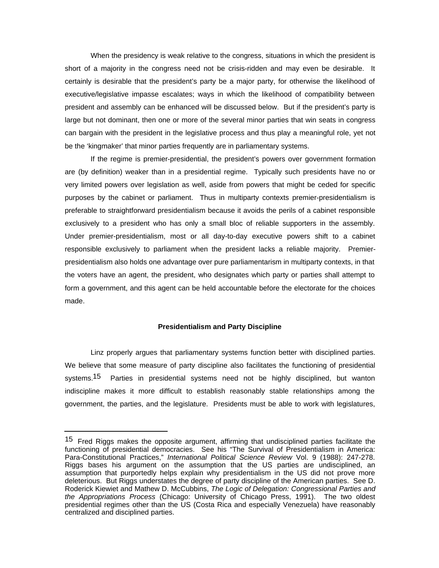When the presidency is weak relative to the congress, situations in which the president is short of a majority in the congress need not be crisis-ridden and may even be desirable. It certainly is desirable that the president's party be a major party, for otherwise the likelihood of executive/legislative impasse escalates; ways in which the likelihood of compatibility between president and assembly can be enhanced will be discussed below. But if the president's party is large but not dominant, then one or more of the several minor parties that win seats in congress can bargain with the president in the legislative process and thus play a meaningful role, yet not be the 'kingmaker' that minor parties frequently are in parliamentary systems.

If the regime is premier-presidential, the president's powers over government formation are (by definition) weaker than in a presidential regime. Typically such presidents have no or very limited powers over legislation as well, aside from powers that might be ceded for specific purposes by the cabinet or parliament. Thus in multiparty contexts premier-presidentialism is preferable to straightforward presidentialism because it avoids the perils of a cabinet responsible exclusively to a president who has only a small bloc of reliable supporters in the assembly. Under premier-presidentialism, most or all day-to-day executive powers shift to a cabinet responsible exclusively to parliament when the president lacks a reliable majority. Premierpresidentialism also holds one advantage over pure parliamentarism in multiparty contexts, in that the voters have an agent, the president, who designates which party or parties shall attempt to form a government, and this agent can be held accountable before the electorate for the choices made.

### **Presidentialism and Party Discipline**

Linz properly argues that parliamentary systems function better with disciplined parties. We believe that some measure of party discipline also facilitates the functioning of presidential systems.<sup>15</sup> Parties in presidential systems need not be highly disciplined, but wanton indiscipline makes it more difficult to establish reasonably stable relationships among the government, the parties, and the legislature. Presidents must be able to work with legislatures,

<sup>&</sup>lt;sup>15</sup> Fred Riggs makes the opposite argument, affirming that undisciplined parties facilitate the functioning of presidential democracies. See his "The Survival of Presidentialism in America: Para-Constitutional Practices," *International Political Science Review* Vol. 9 (1988): 247-278. Riggs bases his argument on the assumption that the US parties are undisciplined, an assumption that purportedly helps explain why presidentialism in the US did not prove more deleterious. But Riggs understates the degree of party discipline of the American parties. See D. Roderick Kiewiet and Mathew D. McCubbins, *The Logic of Delegation: Congressional Parties and the Appropriations Process* (Chicago: University of Chicago Press, 1991). The two oldest presidential regimes other than the US (Costa Rica and especially Venezuela) have reasonably centralized and disciplined parties.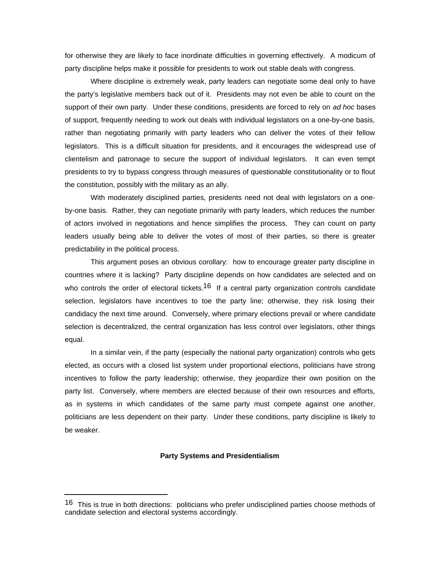for otherwise they are likely to face inordinate difficulties in governing effectively. A modicum of party discipline helps make it possible for presidents to work out stable deals with congress.

Where discipline is extremely weak, party leaders can negotiate some deal only to have the party's legislative members back out of it. Presidents may not even be able to count on the support of their own party. Under these conditions, presidents are forced to rely on *ad hoc* bases of support, frequently needing to work out deals with individual legislators on a one-by-one basis, rather than negotiating primarily with party leaders who can deliver the votes of their fellow legislators. This is a difficult situation for presidents, and it encourages the widespread use of clientelism and patronage to secure the support of individual legislators. It can even tempt presidents to try to bypass congress through measures of questionable constitutionality or to flout the constitution, possibly with the military as an ally.

With moderately disciplined parties, presidents need not deal with legislators on a oneby-one basis. Rather, they can negotiate primarily with party leaders, which reduces the number of actors involved in negotiations and hence simplifies the process. They can count on party leaders usually being able to deliver the votes of most of their parties, so there is greater predictability in the political process.

This argument poses an obvious corollary: how to encourage greater party discipline in countries where it is lacking? Party discipline depends on how candidates are selected and on who controls the order of electoral tickets.<sup>16</sup> If a central party organization controls candidate selection, legislators have incentives to toe the party line; otherwise, they risk losing their candidacy the next time around. Conversely, where primary elections prevail or where candidate selection is decentralized, the central organization has less control over legislators, other things equal.

In a similar vein, if the party (especially the national party organization) controls who gets elected, as occurs with a closed list system under proportional elections, politicians have strong incentives to follow the party leadership; otherwise, they jeopardize their own position on the party list. Conversely, where members are elected because of their own resources and efforts, as in systems in which candidates of the same party must compete against one another, politicians are less dependent on their party. Under these conditions, party discipline is likely to be weaker.

### **Party Systems and Presidentialism**

<sup>&</sup>lt;sup>16</sup> This is true in both directions: politicians who prefer undisciplined parties choose methods of candidate selection and electoral systems accordingly.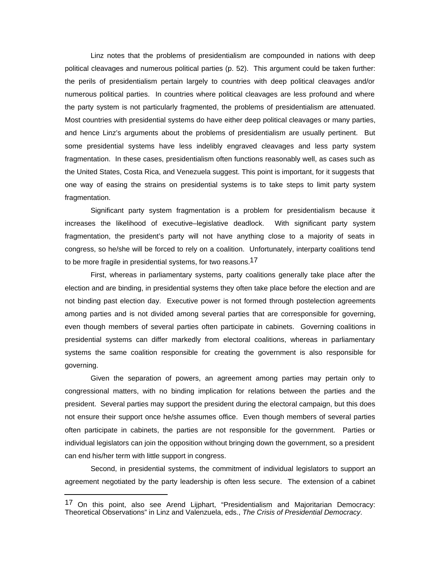Linz notes that the problems of presidentialism are compounded in nations with deep political cleavages and numerous political parties (p. 52). This argument could be taken further: the perils of presidentialism pertain largely to countries with deep political cleavages and/or numerous political parties. In countries where political cleavages are less profound and where the party system is not particularly fragmented, the problems of presidentialism are attenuated. Most countries with presidential systems do have either deep political cleavages or many parties, and hence Linz's arguments about the problems of presidentialism are usually pertinent. But some presidential systems have less indelibly engraved cleavages and less party system fragmentation. In these cases, presidentialism often functions reasonably well, as cases such as the United States, Costa Rica, and Venezuela suggest. This point is important, for it suggests that one way of easing the strains on presidential systems is to take steps to limit party system fragmentation.

Significant party system fragmentation is a problem for presidentialism because it increases the likelihood of executive–legislative deadlock. With significant party system fragmentation, the president's party will not have anything close to a majority of seats in congress, so he/she will be forced to rely on a coalition. Unfortunately, interparty coalitions tend to be more fragile in presidential systems, for two reasons.<sup>17</sup>

First, whereas in parliamentary systems, party coalitions generally take place after the election and are binding, in presidential systems they often take place before the election and are not binding past election day. Executive power is not formed through postelection agreements among parties and is not divided among several parties that are corresponsible for governing, even though members of several parties often participate in cabinets. Governing coalitions in presidential systems can differ markedly from electoral coalitions, whereas in parliamentary systems the same coalition responsible for creating the government is also responsible for governing.

Given the separation of powers, an agreement among parties may pertain only to congressional matters, with no binding implication for relations between the parties and the president. Several parties may support the president during the electoral campaign, but this does not ensure their support once he/she assumes office. Even though members of several parties often participate in cabinets, the parties are not responsible for the government. Parties or individual legislators can join the opposition without bringing down the government, so a president can end his/her term with little support in congress.

Second, in presidential systems, the commitment of individual legislators to support an agreement negotiated by the party leadership is often less secure. The extension of a cabinet

<sup>17</sup> On this point, also see Arend Lijphart, "Presidentialism and Majoritarian Democracy: Theoretical Observations" in Linz and Valenzuela, eds., *The Crisis of Presidential Democracy*.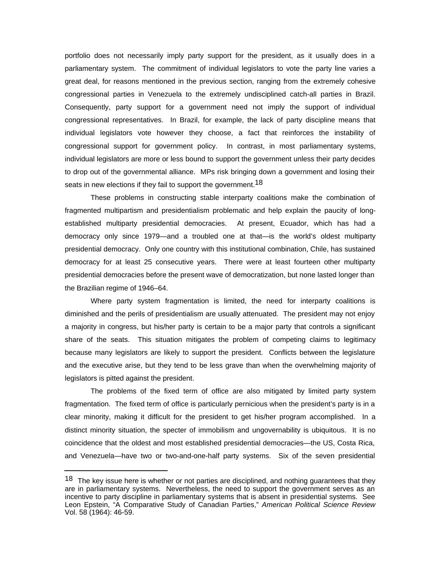portfolio does not necessarily imply party support for the president, as it usually does in a parliamentary system. The commitment of individual legislators to vote the party line varies a great deal, for reasons mentioned in the previous section, ranging from the extremely cohesive congressional parties in Venezuela to the extremely undisciplined catch-all parties in Brazil. Consequently, party support for a government need not imply the support of individual congressional representatives. In Brazil, for example, the lack of party discipline means that individual legislators vote however they choose, a fact that reinforces the instability of congressional support for government policy. In contrast, in most parliamentary systems, individual legislators are more or less bound to support the government unless their party decides to drop out of the governmental alliance. MPs risk bringing down a government and losing their seats in new elections if they fail to support the government.<sup>18</sup>

These problems in constructing stable interparty coalitions make the combination of fragmented multipartism and presidentialism problematic and help explain the paucity of longestablished multiparty presidential democracies. At present, Ecuador, which has had a democracy only since 1979—and a troubled one at that—is the world's oldest multiparty presidential democracy. Only one country with this institutional combination, Chile, has sustained democracy for at least 25 consecutive years. There were at least fourteen other multiparty presidential democracies before the present wave of democratization, but none lasted longer than the Brazilian regime of 1946–64.

Where party system fragmentation is limited, the need for interparty coalitions is diminished and the perils of presidentialism are usually attenuated. The president may not enjoy a majority in congress, but his/her party is certain to be a major party that controls a significant share of the seats. This situation mitigates the problem of competing claims to legitimacy because many legislators are likely to support the president. Conflicts between the legislature and the executive arise, but they tend to be less grave than when the overwhelming majority of legislators is pitted against the president.

The problems of the fixed term of office are also mitigated by limited party system fragmentation. The fixed term of office is particularly pernicious when the president's party is in a clear minority, making it difficult for the president to get his/her program accomplished. In a distinct minority situation, the specter of immobilism and ungovernability is ubiquitous. It is no coincidence that the oldest and most established presidential democracies—the US, Costa Rica, and Venezuela—have two or two-and-one-half party systems. Six of the seven presidential

 $18$  The key issue here is whether or not parties are disciplined, and nothing guarantees that they are in parliamentary systems. Nevertheless, the need to support the government serves as an incentive to party discipline in parliamentary systems that is absent in presidential systems. See Leon Epstein, "A Comparative Study of Canadian Parties," *American Political Science Review* Vol. 58 (1964): 46-59.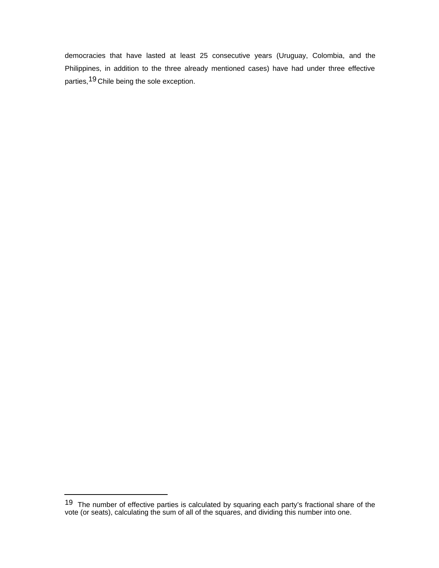democracies that have lasted at least 25 consecutive years (Uruguay, Colombia, and the Philippines, in addition to the three already mentioned cases) have had under three effective parties,19 Chile being the sole exception.

<sup>19</sup> The number of effective parties is calculated by squaring each party's fractional share of the vote (or seats), calculating the sum of all of the squares, and dividing this number into one.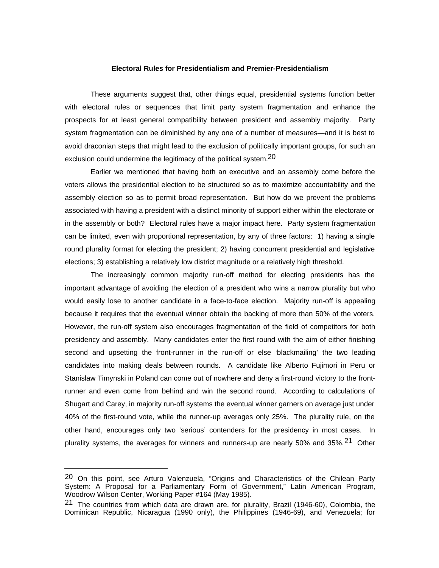### **Electoral Rules for Presidentialism and Premier-Presidentialism**

These arguments suggest that, other things equal, presidential systems function better with electoral rules or sequences that limit party system fragmentation and enhance the prospects for at least general compatibility between president and assembly majority. Party system fragmentation can be diminished by any one of a number of measures—and it is best to avoid draconian steps that might lead to the exclusion of politically important groups, for such an exclusion could undermine the legitimacy of the political system.<sup>20</sup>

Earlier we mentioned that having both an executive and an assembly come before the voters allows the presidential election to be structured so as to maximize accountability and the assembly election so as to permit broad representation. But how do we prevent the problems associated with having a president with a distinct minority of support either within the electorate or in the assembly or both? Electoral rules have a major impact here. Party system fragmentation can be limited, even with proportional representation, by any of three factors: 1) having a single round plurality format for electing the president; 2) having concurrent presidential and legislative elections; 3) establishing a relatively low district magnitude or a relatively high threshold.

The increasingly common majority run-off method for electing presidents has the important advantage of avoiding the election of a president who wins a narrow plurality but who would easily lose to another candidate in a face-to-face election. Majority run-off is appealing because it requires that the eventual winner obtain the backing of more than 50% of the voters. However, the run-off system also encourages fragmentation of the field of competitors for both presidency and assembly. Many candidates enter the first round with the aim of either finishing second and upsetting the front-runner in the run-off or else 'blackmailing' the two leading candidates into making deals between rounds. A candidate like Alberto Fujimori in Peru or Stanislaw Timynski in Poland can come out of nowhere and deny a first-round victory to the frontrunner and even come from behind and win the second round. According to calculations of Shugart and Carey, in majority run-off systems the eventual winner garners on average just under 40% of the first-round vote, while the runner-up averages only 25%. The plurality rule, on the other hand, encourages only two 'serious' contenders for the presidency in most cases. In plurality systems, the averages for winners and runners-up are nearly 50% and 35%.<sup>21</sup> Other

<sup>20</sup> On this point, see Arturo Valenzuela, "Origins and Characteristics of the Chilean Party System: A Proposal for a Parliamentary Form of Government," Latin American Program, Woodrow Wilson Center, Working Paper #164 (May 1985).

<sup>&</sup>lt;sup>21</sup> The countries from which data are drawn are, for plurality, Brazil (1946-60), Colombia, the Dominican Republic, Nicaragua (1990 only), the Philippines (1946-69), and Venezuela; for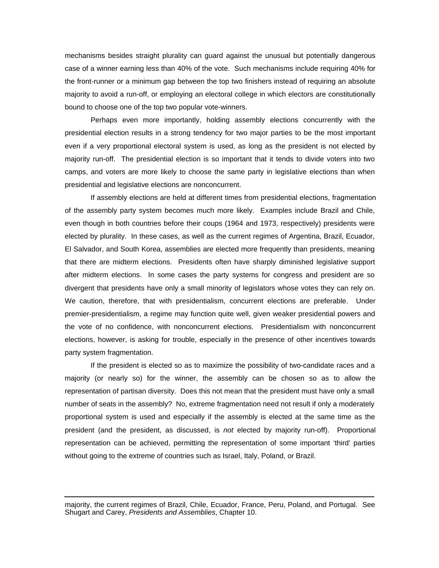mechanisms besides straight plurality can guard against the unusual but potentially dangerous case of a winner earning less than 40% of the vote. Such mechanisms include requiring 40% for the front-runner or a minimum gap between the top two finishers instead of requiring an absolute majority to avoid a run-off, or employing an electoral college in which electors are constitutionally bound to choose one of the top two popular vote-winners.

Perhaps even more importantly, holding assembly elections concurrently with the presidential election results in a strong tendency for two major parties to be the most important even if a very proportional electoral system is used, as long as the president is not elected by majority run-off. The presidential election is so important that it tends to divide voters into two camps, and voters are more likely to choose the same party in legislative elections than when presidential and legislative elections are nonconcurrent.

If assembly elections are held at different times from presidential elections, fragmentation of the assembly party system becomes much more likely. Examples include Brazil and Chile, even though in both countries before their coups (1964 and 1973, respectively) presidents were elected by plurality. In these cases, as well as the current regimes of Argentina, Brazil, Ecuador, El Salvador, and South Korea, assemblies are elected more frequently than presidents, meaning that there are midterm elections. Presidents often have sharply diminished legislative support after midterm elections. In some cases the party systems for congress and president are so divergent that presidents have only a small minority of legislators whose votes they can rely on. We caution, therefore, that with presidentialism, concurrent elections are preferable. Under premier-presidentialism, a regime may function quite well, given weaker presidential powers and the vote of no confidence, with nonconcurrent elections. Presidentialism with nonconcurrent elections, however, is asking for trouble, especially in the presence of other incentives towards party system fragmentation.

If the president is elected so as to maximize the possibility of two-candidate races and a majority (or nearly so) for the winner, the assembly can be chosen so as to allow the representation of partisan diversity. Does this not mean that the president must have only a small number of seats in the assembly? No, extreme fragmentation need not result if only a moderately proportional system is used and especially if the assembly is elected at the same time as the president (and the president, as discussed, is *not* elected by majority run-off). Proportional representation can be achieved, permitting the representation of some important 'third' parties without going to the extreme of countries such as Israel, Italy, Poland, or Brazil.

majority, the current regimes of Brazil, Chile, Ecuador, France, Peru, Poland, and Portugal. See Shugart and Carey, *Presidents and Assemblies*, Chapter 10.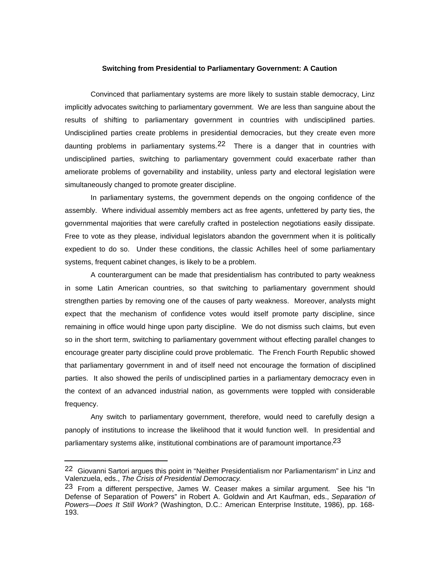### **Switching from Presidential to Parliamentary Government: A Caution**

Convinced that parliamentary systems are more likely to sustain stable democracy, Linz implicitly advocates switching to parliamentary government. We are less than sanguine about the results of shifting to parliamentary government in countries with undisciplined parties. Undisciplined parties create problems in presidential democracies, but they create even more daunting problems in parliamentary systems. $22$  There is a danger that in countries with undisciplined parties, switching to parliamentary government could exacerbate rather than ameliorate problems of governability and instability, unless party and electoral legislation were simultaneously changed to promote greater discipline.

In parliamentary systems, the government depends on the ongoing confidence of the assembly. Where individual assembly members act as free agents, unfettered by party ties, the governmental majorities that were carefully crafted in postelection negotiations easily dissipate. Free to vote as they please, individual legislators abandon the government when it is politically expedient to do so. Under these conditions, the classic Achilles heel of some parliamentary systems, frequent cabinet changes, is likely to be a problem.

A counterargument can be made that presidentialism has contributed to party weakness in some Latin American countries, so that switching to parliamentary government should strengthen parties by removing one of the causes of party weakness. Moreover, analysts might expect that the mechanism of confidence votes would itself promote party discipline, since remaining in office would hinge upon party discipline. We do not dismiss such claims, but even so in the short term, switching to parliamentary government without effecting parallel changes to encourage greater party discipline could prove problematic. The French Fourth Republic showed that parliamentary government in and of itself need not encourage the formation of disciplined parties. It also showed the perils of undisciplined parties in a parliamentary democracy even in the context of an advanced industrial nation, as governments were toppled with considerable frequency.

Any switch to parliamentary government, therefore, would need to carefully design a panoply of institutions to increase the likelihood that it would function well. In presidential and parliamentary systems alike, institutional combinations are of paramount importance.<sup>23</sup>

<sup>22</sup> Giovanni Sartori argues this point in "Neither Presidentialism nor Parliamentarism" in Linz and Valenzuela, eds., *The Crisis of Presidential Democracy*.

<sup>23</sup> From a different perspective, James W. Ceaser makes a similar argument. See his "In Defense of Separation of Powers" in Robert A. Goldwin and Art Kaufman, eds., *Separation of Powers—Does It Still Work?* (Washington, D.C.: American Enterprise Institute, 1986), pp. 168- 193.